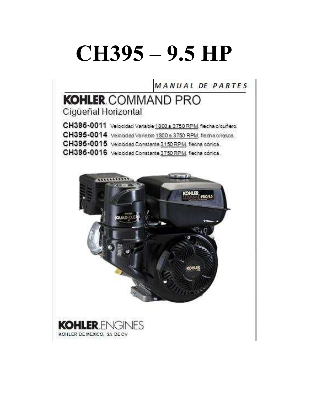# **CH395 – 9.5 HP**

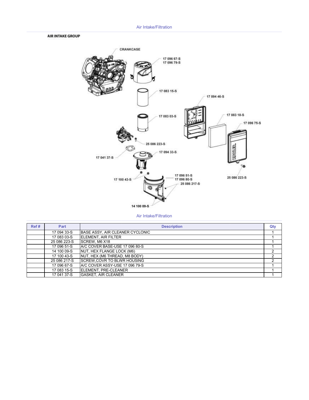### Air Intake/Filtration

### **AIR INTAKE GROUP**



#### Air Intake/Filtration

| Ref# | <b>Part</b>  | <b>Description</b>                 | Qty |
|------|--------------|------------------------------------|-----|
|      | 17 094 33-S  | BASE ASSY, AIR CLEANER CYCLONIC    |     |
|      | 17 083 03-S  | <b>IELEMENT, AIR FILTER</b>        |     |
|      | 25 086 223-S | <b>ISCREW. M6 X18</b>              |     |
|      | 17 096 51-S  | A/C COVER BASE-USE 17 096 80-S     |     |
|      | 14 100 09-S  | NUT, HEX FLANGE LOCK (M6)          |     |
|      | 17 100 43-S  | NUT, HEX (M6 THREAD, M8 BODY)      |     |
|      | 25 086 217-S | <b>ISCREW.COVR TO BLWR HOUSING</b> |     |
|      | 17 096 67-S  | IA/C COVER ASSY-USE 17 096 79-S    |     |
|      | 17 083 15-S  | <b>IELEMENT. PRE-CLEANER</b>       |     |
|      | 17 041 37-S  | <b>IGASKET. AIR CLEANER</b>        |     |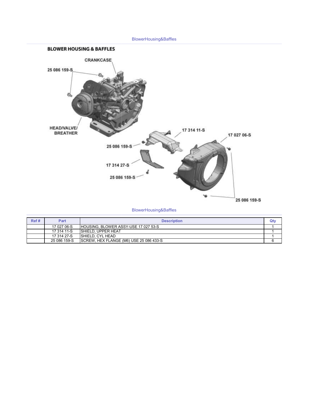### BlowerHousing&Baffles



### BlowerHousing&Baffles

| Ref# | Part         | <b>Description</b>                           | Qty |
|------|--------------|----------------------------------------------|-----|
|      | 17 027 06-S  | <b>IHOUSING. BLOWER ASSY-USE 17 027 53-S</b> |     |
|      | 17 314 11-S  | <b>ISHIELD. UPPER HEAT</b>                   |     |
|      | 17 314 27-S  | ISHIELD, CYL HEAD                            |     |
|      | 25 086 159-S | SCREW, HEX FLANGE (M6) USE 25 086 433-S      |     |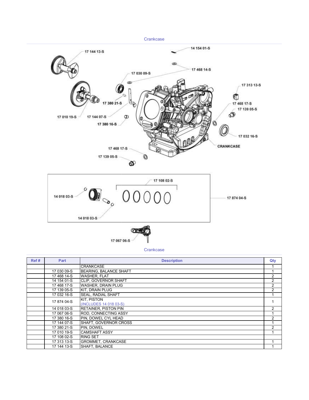

17 067 06-S

**Crankcase** 

| Ref# | Part        | <b>Description</b>            | Qty            |
|------|-------------|-------------------------------|----------------|
|      |             | <b>CRANKCASE</b>              |                |
|      | 17 030 09-S | <b>BEARING, BALANCE SHAFT</b> |                |
|      | 17468 14-S  | <b>WASHER, FLAT</b>           | 2              |
|      | 14 154 01-S | CLIP, GOVERNOR SHAFT          | $\overline{2}$ |
|      | 17 468 17-S | <b>WASHER, DRAIN PLUG</b>     | $\overline{2}$ |
|      | 17 139 05-S | KIT, DRAIN PLUG               | $\overline{2}$ |
|      | 17 032 16-S | <b>SEAL, RADIAL SHAFT</b>     |                |
|      | 17 874 04-S | <b>KIT. PISTON</b>            |                |
|      |             | (INCLUDES 14 018 03-S)        |                |
|      | 14 018 03-S | <b>RETAINER, PISTON PIN</b>   | $\overline{2}$ |
|      | 17 067 06-S | ROD, CONNECTING ASSY          |                |
|      | 17 380 16-S | PIN, DOWEL CYL HEAD           | $\overline{2}$ |
|      | 17 144 07-S | SHAFT, GOVERNOR CROSS         |                |
|      | 17 380 21-S | PIN. DOWEL                    | 2              |
|      | 17 010 19-S | <b>CAMSHAFT ASSY</b>          |                |
|      | 17 108 02-S | <b>RING SET</b>               |                |
|      | 17 313 13-S | <b>GROMMET, CRANKCASE</b>     |                |
|      | 17 144 13-S | SHAFT, BALANCE                |                |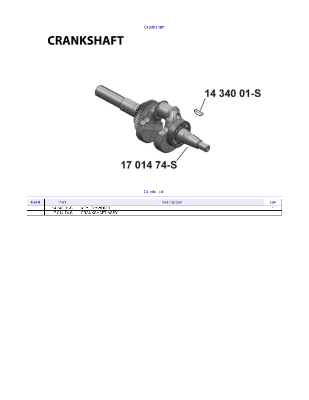# **CRANKSHAFT**



**Crankshaft** 

| Ref# | Part        | <b>Description</b>       | nħ<br><b>AMENT</b> |
|------|-------------|--------------------------|--------------------|
|      | 14 340 01-S | <b>FLYWHEEL</b><br>IKEY. |                    |
|      | 17 014 74-S | <b>CRANKSHAFT ASSY</b>   |                    |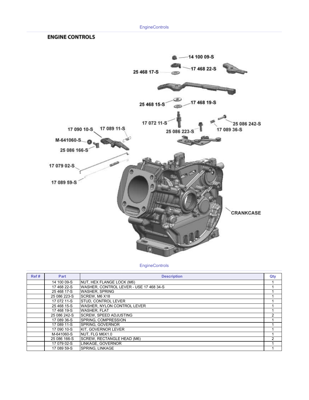## **ENGINE CONTROLS**



**EngineControls** 

| Ref# | Part         | <b>Description</b>                      | Qty |
|------|--------------|-----------------------------------------|-----|
|      | 14 100 09-S  | NUT. HEX FLANGE LOCK (M6)               |     |
|      | 17 468 22-S  | WASHER, CONTROL LEVER - USE 17 468 34-S |     |
|      | 25 468 17-S  | <b>WASHER, SPRING</b>                   |     |
|      | 25 086 223-S | SCREW, M6 X18                           |     |
|      | 17 072 11-S  | <b>STUD. CONTROL LEVER</b>              |     |
|      | 25 468 15-S  | WASHER, NYLON CONTROL LEVER             |     |
|      | 17 468 19-S  | <b>WASHER, FLAT</b>                     |     |
|      | 25 086 242-S | <b>SCREW. SPEED ADJUSTING</b>           | 2   |
|      | 17 089 36-S  | <b>SPRING. COMPRESSION</b>              |     |
|      | 17 089 11-S  | <b>SPRING, GOVERNOR</b>                 |     |
|      | 17 090 10-S  | <b>KIT. GOVERNOR LEVER</b>              |     |
|      | M-641060-S   | NUT. FLG M6X1.0                         |     |
|      | 25 086 166-S | SCREW, RECTANGLE HEAD (M6)              | っ   |
|      | 17 079 02-S  | LINKAGE. GOVERNOR                       |     |
|      | 17 089 59-S  | <b>SPRING. LINKAGE</b>                  |     |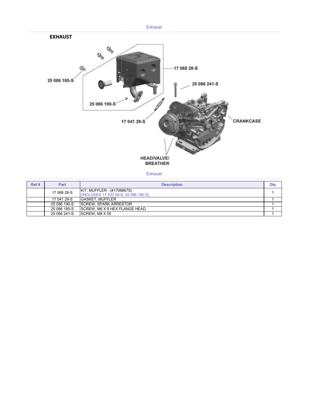

Exhaust

| Ref# | Part         | <b>Description</b>                                                 | Qty |
|------|--------------|--------------------------------------------------------------------|-----|
|      | 17 068 28-S  | KIT, MUFFLER - (#1706867S)<br>(INCLUDES 17 533 08-S, 25 086 190-S) |     |
|      | 17 041 29-S  | <b>GASKET, MUFFLER</b>                                             |     |
|      | 25 086 190-S | <b>ISCREW. SPARK ARRESTOR</b>                                      |     |
|      | 25 086 185-S | <b>ISCREW. M6 X 8 HEX FLANGE HEAD</b>                              |     |
|      | 25 086 241-S | <b>SCREW. M8 X 55</b>                                              |     |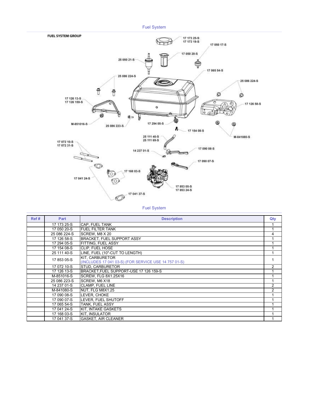

Fuel System

| Ref# | Part         | <b>Description</b>                                   | Qty            |
|------|--------------|------------------------------------------------------|----------------|
|      | 17 173 25-S  | <b>CAP. FUEL TANK</b>                                |                |
|      | 17 050 20-S  | <b>FUEL FILTER TANK</b>                              |                |
|      | 25 086 224-S | SCREW, M8 X 20                                       | 4              |
|      | 17 126 58-S  | <b>BRACKET, FUEL SUPPORT ASSY</b>                    |                |
|      | 17 294 05-S  | <b>FITTING, FUEL ASSY</b>                            |                |
|      | 17 154 08-S  | CLIP. FUEL HOSE                                      |                |
|      | 25 111 40-S  | LINE, FUEL (10"-CUT TO LENGTH)                       |                |
|      | 17 853 05-S  | KIT. CARBURETOR                                      |                |
|      |              | (INCLUDES 17 041 03-S) (FOR SERVICE USE 14 757 01-S) |                |
|      | 17 072 10-S  | STUD, CARBURETOR                                     | $\overline{2}$ |
|      | 17 126 13-S  | BRACKET, FUEL SUPPORT-USE 17 126 159-S               |                |
|      | M-851016-S   | SCREW. FLG 8X1.25X16                                 |                |
|      | 25 086 223-S | SCREW, M6 X18                                        |                |
|      | 14 237 01-S  | <b>CLAMP, FUEL LINE</b>                              | $\mathcal{P}$  |
|      | M-841080-S   | NUT. FLG M8X1.25                                     | 2              |
|      | 17 090 08-S  | LEVER. CHOKE                                         |                |
|      | 17 090 07-S  | LEVER, FUEL SHUTOFF                                  |                |
|      | 17 065 54-S  | <b>TANK, FUEL ASSY</b>                               |                |
|      | 17 041 24-S  | KIT, INTAKE GASKETS                                  |                |
|      | 17 168 03-S  | <b>KIT. INSULATOR</b>                                |                |
|      | 17 041 37-S  | <b>GASKET, AIR CLEANER</b>                           |                |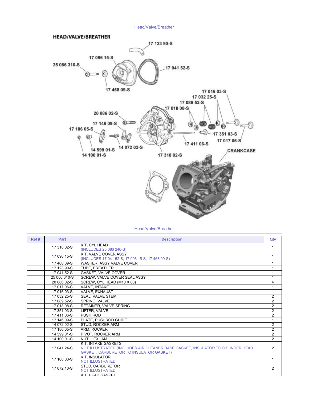Head/Valve/Breather



### Head/Valve/Breather

| Ref# | Part         | <b>Description</b>                                                                                                                                     | Qty            |
|------|--------------|--------------------------------------------------------------------------------------------------------------------------------------------------------|----------------|
|      | 17 318 02-S  | KIT, CYL HEAD<br>(INCLUDES 25 086 240-S)                                                                                                               |                |
|      | 17 096 15-S  | KIT, VALVE COVER ASSY<br>(INCLUDES 17 041 52-S, 17 096 15-S, 17 468 09-S)                                                                              |                |
|      | 17 468 09-S  | WASHER, ASSY VALVE COVER                                                                                                                               |                |
|      | 17 123 90-S  | TUBE, BREATHER                                                                                                                                         |                |
|      | 17 041 52-S  | <b>GASKET, VALVE COVER</b>                                                                                                                             |                |
|      | 25 086 310-S | SCREW, VALVE COVER SEAL ASSY                                                                                                                           |                |
|      | 20 086 02-S  | SCREW, CYL HEAD (M10 X 80)                                                                                                                             | 4              |
|      | 17 017 06-S  | VALVE, INTAKE                                                                                                                                          |                |
|      | 17 016 03-S  | VALVE, EXHAUST                                                                                                                                         |                |
|      | 17 032 25-S  | SEAL, VALVE STEM                                                                                                                                       | 2              |
|      | 17 089 52-S  | SPRING, VALVE                                                                                                                                          | 2              |
|      | 17 018 08-S  | <b>RETAINER, VALVE SPRING</b>                                                                                                                          | $\overline{2}$ |
|      | 17 351 03-S  | LIFTER, VALVE                                                                                                                                          | $\overline{2}$ |
|      | 1741106-S    | <b>PUSH ROD</b>                                                                                                                                        | $\overline{2}$ |
|      | 17 146 09-S  | PLATE, PUSHROD GUIDE                                                                                                                                   | $\mathbf 1$    |
|      | 14 072 02-S  | STUD. ROCKER ARM                                                                                                                                       | 2              |
|      | 17 186 05-S  | ARM, ROCKER                                                                                                                                            | $\overline{2}$ |
|      | 14 599 01-S  | PIVOT, ROCKER ARM                                                                                                                                      | $\overline{2}$ |
|      | 14 100 01-S  | NUT, HEX JAM                                                                                                                                           | $\mathfrak{p}$ |
|      | 17 041 24-S  | KIT. INTAKE GASKETS<br>NOT ILLUSTRATED (INCLUDES AIR CLEANER BASE GASKET, INSULATOR TO CYLINDER HEAD<br><b>GASKET, CARBURETOR TO INSULATOR GASKET)</b> | $\mathcal{P}$  |
|      | 17 168 03-S  | <b>KIT. INSULATOR</b><br><b>NOT ILLUSTRATED</b>                                                                                                        |                |
|      | 17 072 10-S  | STUD. CARBURETOR<br><b>NOT ILLUSTRATED</b>                                                                                                             | $\mathcal{P}$  |
|      |              | <b>KIT HEAD GASKET</b>                                                                                                                                 |                |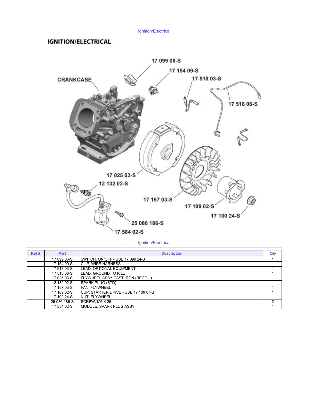### Ignition/Electrical

### **IGNITION/ELECTRICAL**



Ignition/Electrical

| Ref# | Part         | <b>Description</b>                   | Qty |
|------|--------------|--------------------------------------|-----|
|      | 17 099 06-S  | SWITCH, ON/OFF - USE 17 099 24-S     |     |
|      | 17 154 09-S  | <b>CLIP, WIRE HARNESS</b>            |     |
|      | 17 518 03-S  | LEAD, OPTIONAL EQUIPMENT             |     |
|      | 17 518 06-S  | LEAD, GROUND TO KILL                 |     |
|      | 17 025 03-S  | FLYWHEEL ASSY, CAST IRON (RECOIL)    |     |
|      | 12 132 02-S  | SPARK PLUG (STD)                     |     |
|      | 17 157 03-S  | FAN. FLYWHEEL                        |     |
|      | 17 109 02-S  | CUP, STARTER DRIVE - USE 17 109 07-S |     |
|      | 17 100 24-S  | <b>INUT. FLYWHEEL</b>                |     |
|      | 25 086 186-S | SCREW. M6 X 25                       | 2   |
|      | 17 584 02-S  | <b>IMODULE, SPARK PLUG ASSY</b>      |     |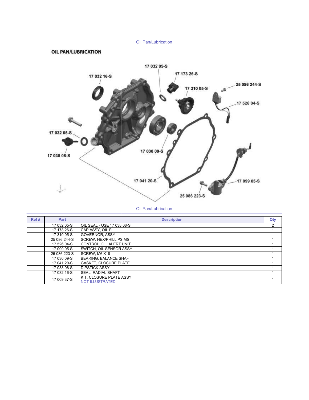

Oil Pan/Lubrication

| Ref# | Part         | <b>Description</b>                                | Qty |
|------|--------------|---------------------------------------------------|-----|
|      | 17 032 05-S  | OIL SEAL - USE 17 038 08-S                        | 2   |
|      | 17 173 26-S  | ICAP ASSY. OIL FILL                               |     |
|      | 17 310 05-S  | <b>GOVERNOR, ASSY</b>                             |     |
|      | 25 086 244-S | <b>SCREW, HEX/PHILLIPS M5</b>                     |     |
|      | 17 526 04-S  | CONTROL, OIL ALERT UNIT                           |     |
|      | 17 099 05-S  | SWITCH, OIL SENSOR ASSY                           |     |
|      | 25 086 223-S | SCREW. M6 X18                                     |     |
|      | 17 030 09-S  | BEARING, BALANCE SHAFT                            |     |
|      | 17 041 20-S  | <b>GASKET, CLOSURE PLATE</b>                      |     |
|      | 17 038 08-S  | <b>IDIPSTICK ASSY</b>                             |     |
|      | 17 032 16-S  | <b>SEAL. RADIAL SHAFT</b>                         |     |
|      | 17 009 37-S  | KIT, CLOSURE PLATE ASSY<br><b>NOT ILLUSTRATED</b> |     |